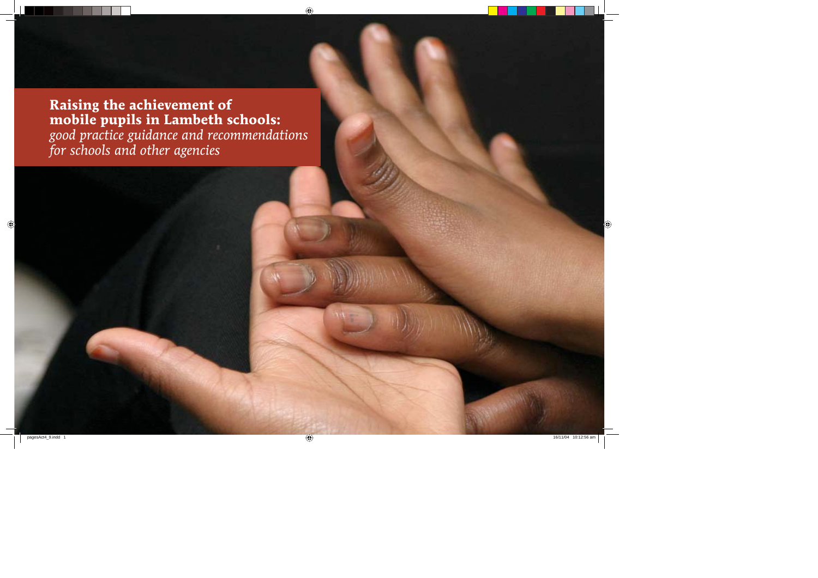# **Raising the achievement of mobile pupils in Lambeth schools:**  *good practice guidance and recommendations*

 $\bigcirc$ 

*for schools and other agencies*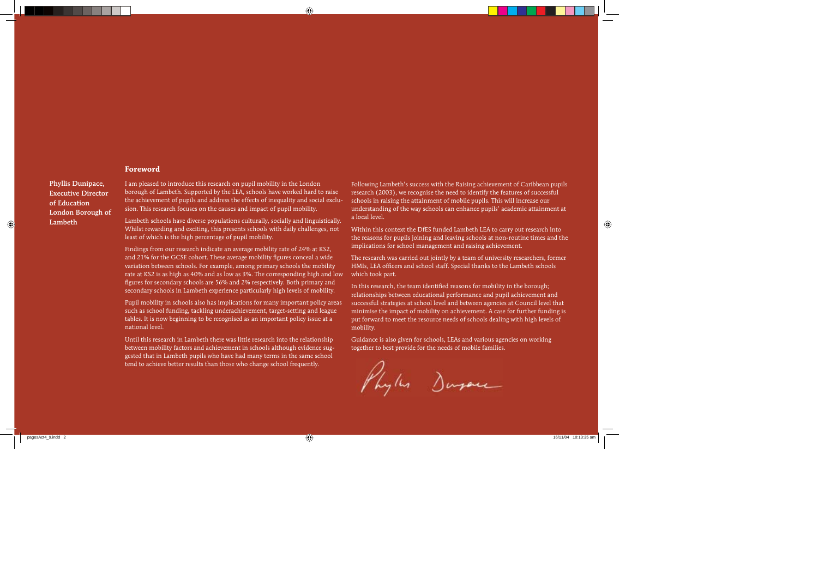#### **Foreword**

Phyllis Dunipace, Executive Director of Education London Borough of Lambeth

 $\bigoplus$ 

I am pleased to introduce this research on pupil mobility in the London borough of Lambeth. Supported by the LEA, schools have worked hard to raise the achievement of pupils and address the effects of inequality and social exclusion. This research focuses on the causes and impact of pupil mobility.

Lambeth schools have diverse populations culturally, socially and linguistically. Whilst rewarding and exciting, this presents schools with daily challenges, not least of which is the high percentage of pupil mobility.

Findings from our research indicate an average mobility rate of 24% at KS2, and 21% for the GCSE cohort. These average mobility figures conceal a wide variation between schools. For example, among primary schools the mobility rate at KS2 is as high as 40% and as low as 3%. The corresponding high and low figures for secondary schools are 56% and 2% respectively. Both primary and secondary schools in Lambeth experience particularly high levels of mobility.

Pupil mobility in schools also has implications for many important policy areas such as school funding, tackling underachievement, target-setting and league tables. It is now beginning to be recognised as an important policy issue at a national level.

Until this research in Lambeth there was little research into the relationship between mobility factors and achievement in schools although evidence suggested that in Lambeth pupils who have had many terms in the same school tend to achieve better results than those who change school frequently.

Following Lambeth's success with the Raising achievement of Caribbean pupils research (2003), we recognise the need to identify the features of successful schools in raising the attainment of mobile pupils. This will increase our understanding of the way schools can enhance pupils' academic attainment at a local level.

Within this context the DfES funded Lambeth LEA to carry out research into the reasons for pupils joining and leaving schools at non-routine times and the implications for school management and raising achievement.

The research was carried out jointly by a team of university researchers, former HMIs, LEA officers and school staff. Special thanks to the Lambeth schools which took part.

In this research, the team identified reasons for mobility in the borough; relationships between educational performance and pupil achievement and successful strategies at school level and between agencies at Council level that minimise the impact of mobility on achievement. A case for further funding is put forward to meet the resource needs of schools dealing with high levels of mobility.

Guidance is also given for schools, LEAs and various agencies on working together to best provide for the needs of mobile families.

Phyles Duson

◈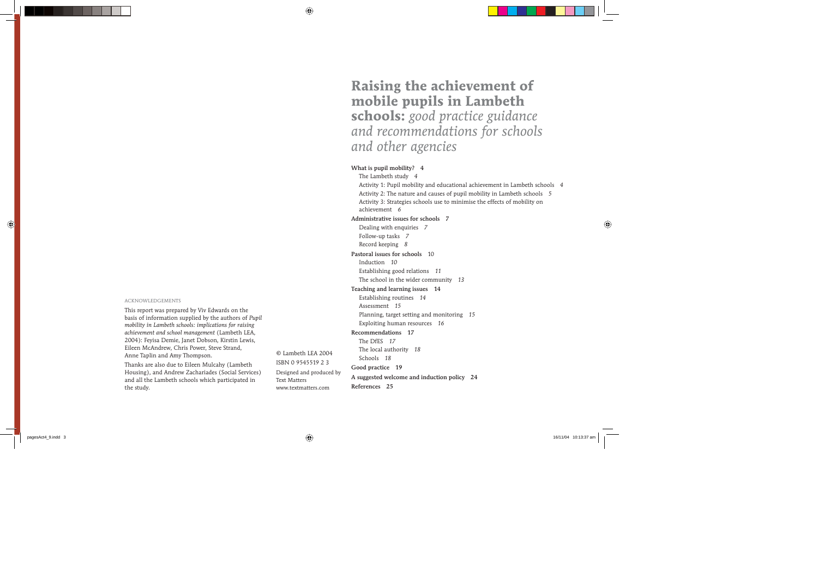#### ACKNOWLEDGEMENTS

This report was prepared by Viv Edwards on the basis of information supplied by the authors of *Pupil mobility in Lambeth schools: implications for raising achievement and school management* (Lambeth LEA, 2004): Feyisa Demie, Janet Dobson, Kirstin Lewis, Eileen McAndrew, Chris Power, Steve Strand, Anne Taplin and Amy Thompson.

Thanks are also due to Eileen Mulcahy (Lambeth Housing), and Andrew Zachariades (Social Services) and all the Lambeth schools which participated in the study.

© Lambeth LEA 2004ISBN 0 9545519 2 3Designed and produced by Text Matterswww.textmatters.com

⊕

**Raising the achievement of mobile pupils in Lambeth schools:** *good practice guidance and recommendations for schools and other agencies*

#### What is pupil mobility? 4

The Lambeth study *4* Activity 1: Pupil mobility and educational achievement in Lambeth schools *4* Activity 2: The nature and causes of pupil mobility in Lambeth schools *5* Activity 3: Strategies schools use to minimise the effects of mobility on achievement *6*Administrative issues for schools 7Dealing with enquiries *7* Follow-up tasks *7* Record keeping *8* Pastoral issues for schools 10Induction *10*Establishing good relations *11* The school in the wider community *13* Teaching and learning issues 14 Establishing routines *14* Assessment *15*Planning, target setting and monitoring *15* Exploiting human resources *16* Recommendations 17The DfES *17*The local authority *18* Schools *18* Good practice 19 A suggested welcome and induction policy 24 References 25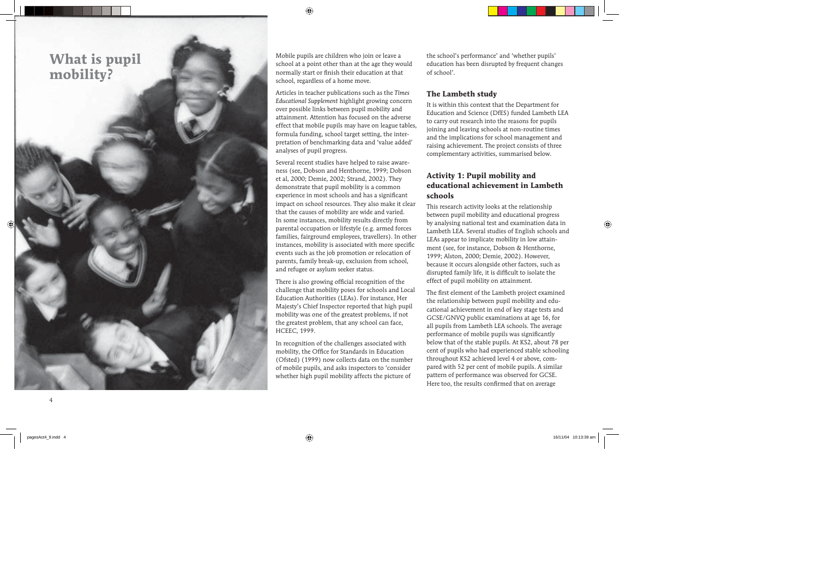

Mobile pupils are children who join or leave a school at a point other than at the age they would normally start or finish their education at that school, regardless of a home move.

Articles in teacher publications such as the *Times Educational Supplement* highlight growing concern over possible links between pupil mobility and attainment. Attention has focused on the adverse effect that mobile pupils may have on league tables, formula funding, school target setting, the interpretation of benchmarking data and 'value added' analyses of pupil progress.

Several recent studies have helped to raise awareness (see, Dobson and Henthorne, 1999; Dobson et al, 2000; Demie, 2002; Strand, 2002). They demonstrate that pupil mobility is a common experience in most schools and has a significant impact on school resources. They also make it clear that the causes of mobility are wide and varied. In some instances, mobility results directly from parental occupation or lifestyle (e.g. armed forces families, fairground employees, travellers). In other instances, mobility is associated with more specific events such as the job promotion or relocation of parents, family break-up, exclusion from school, and refugee or asylum seeker status.

There is also growing official recognition of the challenge that mobility poses for schools and Local Education Authorities (LEAs). For instance, Her Majesty's Chief Inspector reported that high pupil mobility was one of the greatest problems, if not the greatest problem, that any school can face, HCEEC, 1999.

In recognition of the challenges associated with mobility, the Office for Standards in Education (Ofsted) (1999) now collects data on the number of mobile pupils, and asks inspectors to 'consider whether high pupil mobility affects the picture of

the school's performance' and 'whether pupils' education has been disrupted by frequent changes of school'.

#### **The Lambeth study**

It is within this context that the Department for Education and Science (DfES) funded Lambeth LEA to carry out research into the reasons for pupils joining and leaving schools at non-routine times and the implications for school management and raising achievement. The project consists of three complementary activities, summarised below.

## **Activity 1: Pupil mobility and educational achievement in Lambeth schools**

This research activity looks at the relationship between pupil mobility and educational progress by analysing national test and examination data in Lambeth LEA. Several studies of English schools and LEAs appear to implicate mobility in low attainment (see, for instance, Dobson & Henthorne, 1999; Alston, 2000; Demie, 2002). However, because it occurs alongside other factors, such as disrupted family life, it is difficult to isolate the effect of pupil mobility on attainment.

The first element of the Lambeth project examined the relationship between pupil mobility and educational achievement in end of key stage tests and GCSE/GNVQ public examinations at age 16, for all pupils from Lambeth LEA schools. The average performance of mobile pupils was significantly below that of the stable pupils. At KS2, about 78 per cent of pupils who had experienced stable schooling throughout KS2 achieved level 4 or above, compared with 52 per cent of mobile pupils. A similar pattern of performance was observed for GCSE. Here too, the results confirmed that on average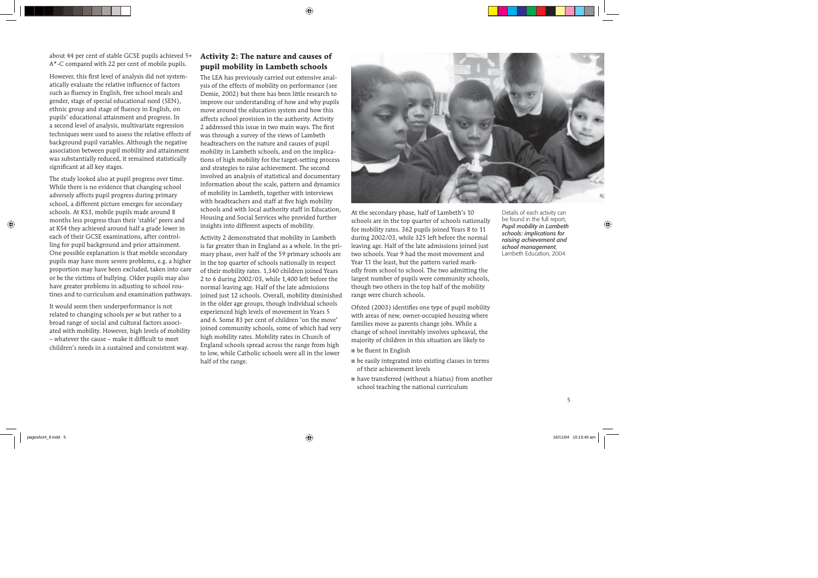about 44 per cent of stable GCSE pupils achieved 5+ A\*-C compared with 22 per cent of mobile pupils.

However, this first level of analysis did not systematically evaluate the relative influence of factors such as fluency in English, free school meals and gender, stage of special educational need (SEN), ethnic group and stage of fluency in English, on pupils' educational attainment and progress. In a second level of analysis, multivariate regression techniques were used to assess the relative effects of background pupil variables. Although the negative association between pupil mobility and attainment was substantially reduced, it remained statistically significant at all key stages.

The study looked also at pupil progress over time. While there is no evidence that changing school adversely affects pupil progress during primary school, a different picture emerges for secondary schools. At KS3, mobile pupils made around 8 months less progress than their 'stable' peers and at KS4 they achieved around half a grade lower in each of their GCSE examinations, after controlling for pupil background and prior attainment. One possible explanation is that mobile secondary pupils may have more severe problems, e.g. a higher proportion may have been excluded, taken into care or be the victims of bullying. Older pupils may also have greater problems in adjusting to school routines and to curriculum and examination pathways.

It would seem then underperformance is not related to changing schools *per se* but rather to a broad range of social and cultural factors associated with mobility. However, high levels of mobility – whatever the cause – make it difficult to meet children's needs in a sustained and consistent way.

## **Activity 2: The nature and causes of pupil mobility in Lambeth schools**

The LEA has previously carried out extensive analysis of the effects of mobility on performance (see Demie, 2002) but there has been little research to improve our understanding of how and why pupils move around the education system and how this affects school provision in the authority. Activity 2 addressed this issue in two main ways. The first was through a survey of the views of Lambeth headteachers on the nature and causes of pupil mobility in Lambeth schools, and on the implications of high mobility for the target-setting process and strategies to raise achievement. The second involved an analysis of statistical and documentary information about the scale, pattern and dynamics of mobility in Lambeth, together with interviews with headteachers and staff at five high mobility schools and with local authority staff in Education, Housing and Social Services who provided further insights into different aspects of mobility.

Activity 2 demonstrated that mobility in Lambeth is far greater than in England as a whole. In the primary phase, over half of the 59 primary schools are in the top quarter of schools nationally in respect of their mobility rates. 1,340 children joined Years 2 to 6 during 2002/03, while 1,400 left before the normal leaving age. Half of the late admissions joined just 12 schools. Overall, mobility diminished in the older age groups, though individual schools experienced high levels of movement in Years 5 and 6. Some 83 per cent of children 'on the move' joined community schools, some of which had very high mobility rates. Mobility rates in Church of England schools spread across the range from high to low, while Catholic schools were all in the lower half of the range.



At the secondary phase, half of Lambeth's 10 schools are in the top quarter of schools nationally for mobility rates. 362 pupils joined Years 8 to 11 during 2002/03, while 325 left before the normal leaving age. Half of the late admissions joined just two schools. Year 9 had the most movement and Year 11 the least, but the pattern varied markedly from school to school. The two admitting the largest number of pupils were community schools, though two others in the top half of the mobility range were church schools.

Ofsted (2003) identifies one type of pupil mobility with areas of new, owner-occupied housing where families move as parents change jobs. While a change of school inevitably involves upheaval, the majority of children in this situation are likely to

- be fluent in English
- be easily integrated into existing classes in terms of their achievement levels
- have transferred (without a hiatus) from another school teaching the national curriculum

Details of each activity can be found in the full report, *Pupil mobility in Lambeth schools: implications for raising achievement and school management*, Lambeth Education, 2004

⊕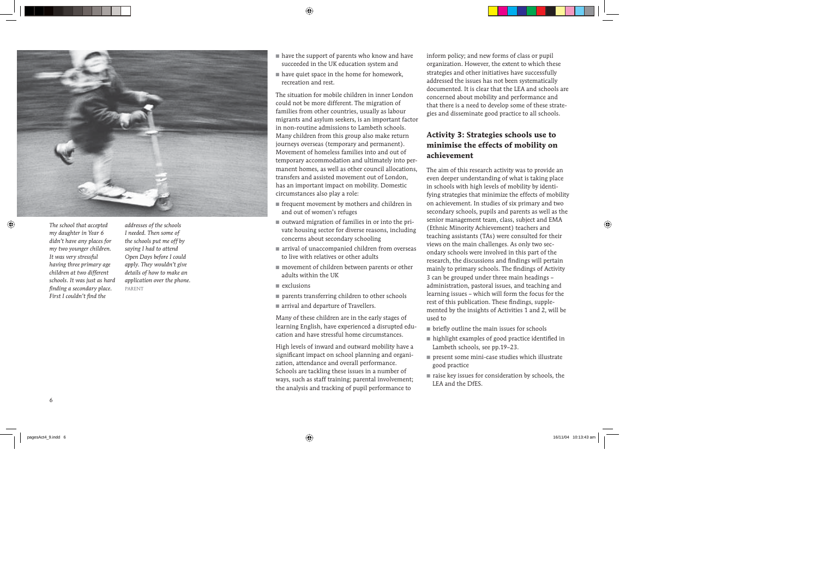

*The school that accepted my daughter in Year 6 didn't have any places for my two younger children. It was very stressful having three primary age children at two different schools. It was just as hard fi nding a secondary place.*  First I couldn't find the

*addresses of the schools I needed. Then some of the schools put me off by saying I had to attend Open Days before I could apply. They wouldn't give details of how to make an application over the phone.* PARENT

- have the support of parents who know and have succeeded in the UK education system and
- have quiet space in the home for homework, recreation and rest.

The situation for mobile children in inner London could not be more different. The migration of families from other countries, usually as labour migrants and asylum seekers, is an important factor in non-routine admissions to Lambeth schools. Many children from this group also make return journeys overseas (temporary and permanent). Movement of homeless families into and out of temporary accommodation and ultimately into permanent homes, as well as other council allocations, transfers and assisted movement out of London, has an important impact on mobility. Domestic circumstances also play a role:

- frequent movement by mothers and children in and out of women's refuges
- outward migration of families in or into the private housing sector for diverse reasons, including concerns about secondary schooling
- arrival of unaccompanied children from overseas to live with relatives or other adults
- movement of children between parents or other adults within the UK
- exclusions
- parents transferring children to other schools
- arrival and departure of Travellers.

Many of these children are in the early stages of learning English, have experienced a disrupted education and have stressful home circumstances.

High levels of inward and outward mobility have a significant impact on school planning and organization, attendance and overall performance. Schools are tackling these issues in a number of ways, such as staff training; parental involvement; the analysis and tracking of pupil performance to

inform policy; and new forms of class or pupil organization. However, the extent to which these strategies and other initiatives have successfully addressed the issues has not been systematically documented. It is clear that the LEA and schools are concerned about mobility and performance and that there is a need to develop some of these strategies and disseminate good practice to all schools.

## **Activity 3: Strategies schools use to minimise the effects of mobility on achievement**

The aim of this research activity was to provide an even deeper understanding of what is taking place in schools with high levels of mobility by identifying strategies that minimize the effects of mobility on achievement. In studies of six primary and two secondary schools, pupils and parents as well as the senior management team, class, subject and EMA (Ethnic Minority Achievement) teachers and teaching assistants (TAs) were consulted for their views on the main challenges. As only two secondary schools were involved in this part of the research, the discussions and findings will pertain mainly to primary schools. The findings of Activity 3 can be grouped under three main headings – administration, pastoral issues, and teaching and learning issues – which will form the focus for the rest of this publication. These findings, supplemented by the insights of Activities 1 and 2, will be used to

- briefly outline the main issues for schools
- highlight examples of good practice identified in Lambeth schools, see pp.19–23.
- present some mini-case studies which illustrate good practice
- raise key issues for consideration by schools, the LEA and the DfES.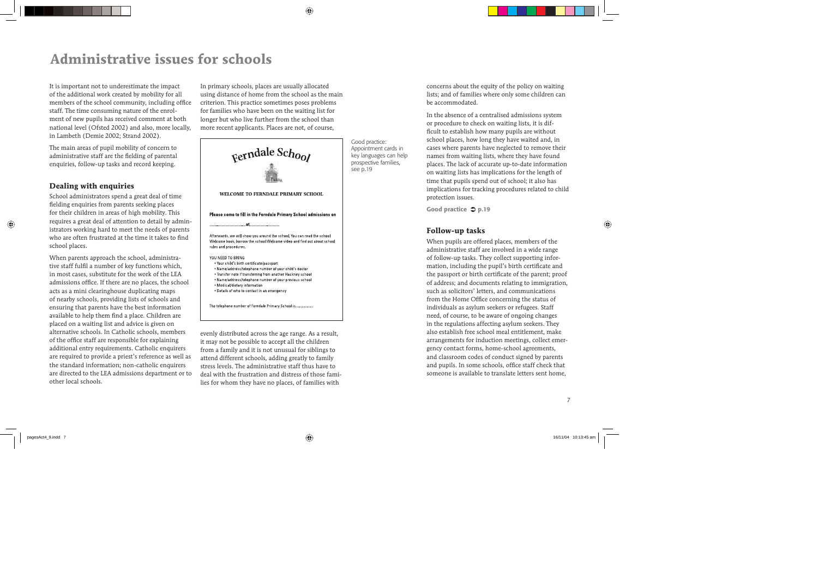## **Administrative issues for schools**

It is important not to underestimate the impact of the additional work created by mobility for all members of the school community, including office staff. The time consuming nature of the enrolment of new pupils has received comment at both national level (Ofsted 2002) and also, more locally, in Lambeth (Demie 2002; Strand 2002).

The main areas of pupil mobility of concern to administrative staff are the fielding of parental enquiries, follow-up tasks and record keeping.

### **Dealing with enquiries**

School administrators spend a great deal of time fielding enquiries from parents seeking places for their children in areas of high mobility. This requires a great deal of attention to detail by administrators working hard to meet the needs of parents who are often frustrated at the time it takes to find school places.

When parents approach the school, administrative staff fulfil a number of key functions which, in most cases, substitute for the work of the LEA admissions office. If there are no places, the school acts as a mini clearinghouse duplicating maps of nearby schools, providing lists of schools and ensuring that parents have the best information available to help them find a place. Children are placed on a waiting list and advice is given on alternative schools. In Catholic schools, members of the office staff are responsible for explaining additional entry requirements. Catholic enquirers are required to provide a priest's reference as well as the standard information; non-catholic enquirers are directed to the LEA admissions department or to other local schools.

In primary schools, places are usually allocated using distance of home from the school as the main criterion. This practice sometimes poses problems for families who have been on the waiting list for longer but who live further from the school than more recent applicants. Places are not, of course,



**WELCOME TO FERNDALE PRIMARY SCHOOL** 

Please come to fill in the Ferndale Primary School admissions on

Afterwards, we will show you around the school. You can read the school Welcome book, borrow the school Welcome video and find out about school rules and procedures.

YOU NEED TO BRING

. Your child's birth certificate/passport . Name/address/telephone number of your child's doctor • Transfer note if transferring from another Hackney school . Name/address/telephone number of your previous school . Medical/dietary information . Details of who to contact in an emergency

The telephone number of Ferndale Primary School is.......

evenly distributed across the age range. As a result, it may not be possible to accept all the children from a family and it is not unusual for siblings to attend different schools, adding greatly to family stress levels. The administrative staff thus have to deal with the frustration and distress of those families for whom they have no places, of families with

Good practice: Appointment cards in key languages can help prospective families, see p.19

concerns about the equity of the policy on waiting lists; and of families where only some children can be accommodated.

In the absence of a centralised admissions system or procedure to check on waiting lists, it is difficult to establish how many pupils are without school places, how long they have waited and, in cases where parents have neglected to remove their names from waiting lists, where they have found places. The lack of accurate up-to-date information on waiting lists has implications for the length of time that pupils spend out of school; it also has implications for tracking procedures related to child protection issues.

**Good practice** ã **p.<sup>19</sup>**

#### **Follow-up tasks**

When pupils are offered places, members of the administrative staff are involved in a wide range of follow-up tasks. They collect supporting information, including the pupil's birth certificate and the passport or birth certificate of the parent; proof of address; and documents relating to immigration, such as solicitors' letters, and communications from the Home Office concerning the status of individuals as asylum seekers or refugees. Staff need, of course, to be aware of ongoing changes in the regulations affecting asylum seekers. They also establish free school meal entitlement, make arrangements for induction meetings, collect emergency contact forms, home-school agreements, and classroom codes of conduct signed by parents and pupils. In some schools, office staff check that someone is available to translate letters sent home,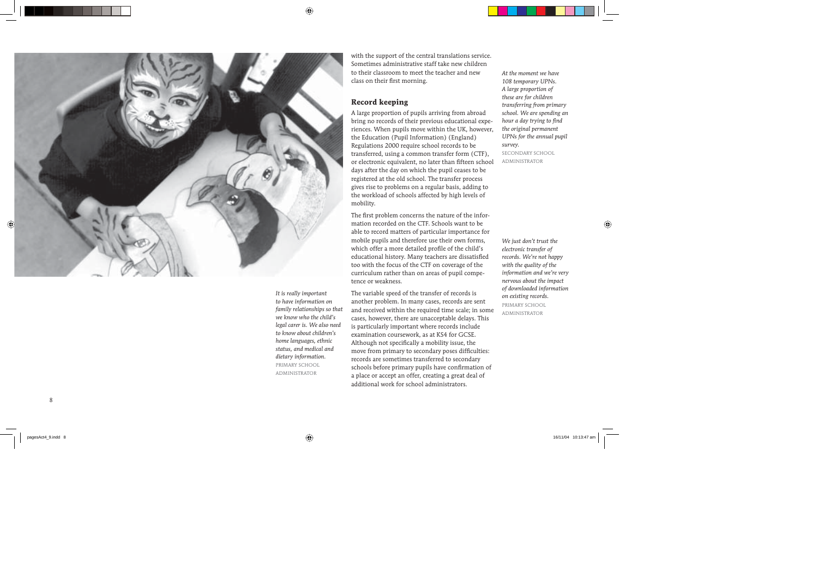

*It is really important to have information on family relationships so that we know who the child's legal carer is. We also need to know about children's home languages, ethnic status, and medical and dietary information.* PRIMARY SCHOOL ADMINISTRATOR

with the support of the central translations service. Sometimes administrative staff take new children to their classroom to meet the teacher and new class on their first morning.

#### **Record keeping**

A large proportion of pupils arriving from abroad bring no records of their previous educational experiences. When pupils move within the UK, however, the Education (Pupil Information) (England) Regulations 2000 require school records to be transferred, using a common transfer form (CTF), or electronic equivalent, no later than fifteen school days after the day on which the pupil ceases to be registered at the old school. The transfer process gives rise to problems on a regular basis, adding to the workload of schools affected by high levels of mobility.

The first problem concerns the nature of the information recorded on the CTF. Schools want to be able to record matters of particular importance for mobile pupils and therefore use their own forms, which offer a more detailed profile of the child's educational history. Many teachers are dissatisfied too with the focus of the CTF on coverage of the curriculum rather than on areas of pupil competence or weakness.

The variable speed of the transfer of records is another problem. In many cases, records are sent and received within the required time scale; in some cases, however, there are unacceptable delays. This is particularly important where records include examination coursework, as at KS4 for GCSE. Although not specifically a mobility issue, the move from primary to secondary poses difficulties: records are sometimes transferred to secondary schools before primary pupils have confirmation of a place or accept an offer, creating a great deal of additional work for school administrators.

*At the moment we have 108 temporary UPNs. A large proportion of these are for children transferring from primary school. We are spending an hour a day trying to find the original permanent UPNs for the annual pupil survey.* SECONDARY SCHOOL ADMINISTRATOR

*We just don't trust the electronic transfer of records. We're not happy with the quality of the information and we're very nervous about the impact of downloaded information on existing records.* PRIMARY SCHOOL ADMINISTRATOR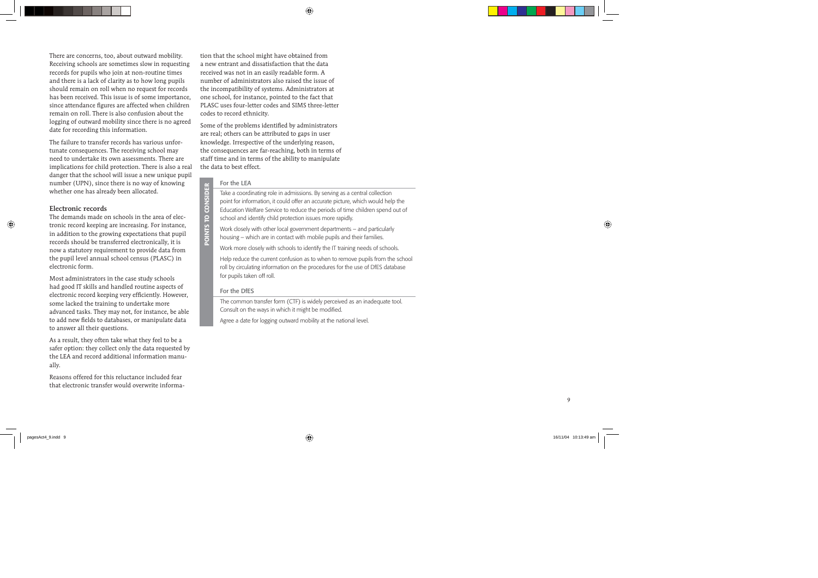There are concerns, too, about outward mobility. Receiving schools are sometimes slow in requesting records for pupils who join at non-routine times and there is a lack of clarity as to how long pupils should remain on roll when no request for records has been received. This issue is of some importance, since attendance figures are affected when children remain on roll. There is also confusion about the logging of outward mobility since there is no agreed date for recording this information.

The failure to transfer records has various unfortunate consequences. The receiving school may need to undertake its own assessments. There are implications for child protection. There is also a real danger that the school will issue a new unique pupil number (UPN), since there is no way of knowing whether one has already been allocated.

#### Electronic records

⊕

The demands made on schools in the area of electronic record keeping are increasing. For instance, in addition to the growing expectations that pupil records should be transferred electronically, it is now a statutory requirement to provide data from the pupil level annual school census (PLASC) in electronic form.

Most administrators in the case study schools had good IT skills and handled routine aspects of electronic record keeping very efficiently. However, some lacked the training to undertake more advanced tasks. They may not, for instance, be able to add new fields to databases, or manipulate data to answer all their questions.

As a result, they often take what they feel to be a safer option: they collect only the data requested by the LEA and record additional information manually.

Reasons offered for this reluctance included fear that electronic transfer would overwrite information that the school might have obtained from<br>a new entrant and dissatisfaction that the data<br>received was not in an easily readable form. A<br>number of administrators also raised the issue of<br>the incompatibility of systems.

Some of the problems identified by administrators<br>are real; others can be attributed to gaps in user<br>knowledge. Irrespective of the underlying reason,<br>the consequences are far-reaching, both in terms of<br>staff time and in t

For the LEA<br>
Take a coordinating role in admissions. By serving as a central collection<br>
point for information, it could offer an accurate picture, which would help the<br>
Education Welfare Service to reduce the periods of t

Work more closely with schools to identify the IT training needs of schools.

Help reduce the current confusion as to when to remove pupils from the school roll by circulating information on the procedures for the use of DfES database for pupils taken off roll.

#### For the DfES

The common transfer form (CTF) is widely perceived as an inadequate tool. Consult on the ways in which it might be modified.

Agree a date for logging outward mobility at the national level.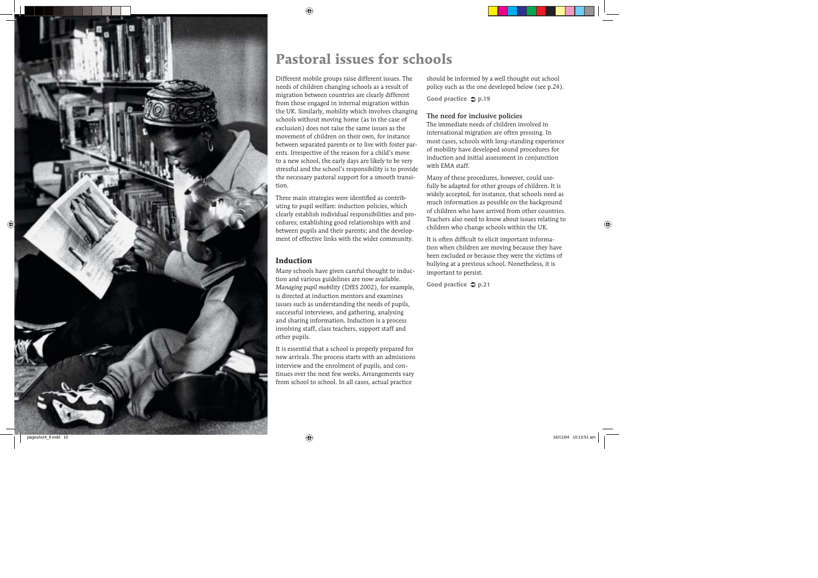

# **Pastoral issues for schools**

◈

Different mobile groups raise different issues. The needs of children changing schools as a result of migration between countries are clearly different from those engaged in internal migration within the UK. Similarly, mobility which involves changing schools without moving home (as in the case of exclusion) does not raise the same issues as the movement of children on their own, for instance between separated parents or to live with foster parents. Irrespective of the reason for a child's move to a new school, the early days are likely to be very stressful and the school's responsibility is to provide the necessary pastoral support for a smooth transition.

Three main strategies were identified as contributing to pupil welfare: induction policies, which clearly establish individual responsibilities and procedures; establishing good relationships with and between pupils and their parents; and the development of effective links with the wider community.

### **Induction**

Many schools have given careful thought to induction and various guidelines are now available. *Managing pupil mobility* (DfES 2002), for example, is directed at induction mentors and examines issues such as understanding the needs of pupils, successful interviews, and gathering, analysing and sharing information. Induction is a process involving staff, class teachers, support staff and other pupils.

It is essential that a school is properly prepared for new arrivals. The process starts with an admissions interview and the enrolment of pupils, and continues over the next few weeks. Arrangements vary from school to school. In all cases, actual practice

should be informed by a well thought out school policy such as the one developed below (see p.24).

**Good practice** ã **p.19**

### The need for inclusive policies

The immediate needs of children involved in international migration are often pressing. In most cases, schools with long-standing experience of mobility have developed sound procedures for induction and initial assessment in conjunction with EMA staff.

Many of these procedures, however, could usefully be adapted for other groups of children. It is widely accepted, for instance, that schools need as much information as possible on the background of children who have arrived from other countries. Teachers also need to know about issues relating to children who change schools within the UK.

It is often difficult to elicit important information when children are moving because they have been excluded or because they were the victims of bullying at a previous school. Nonetheless, it is important to persist.

**Good practice** ã **p.21**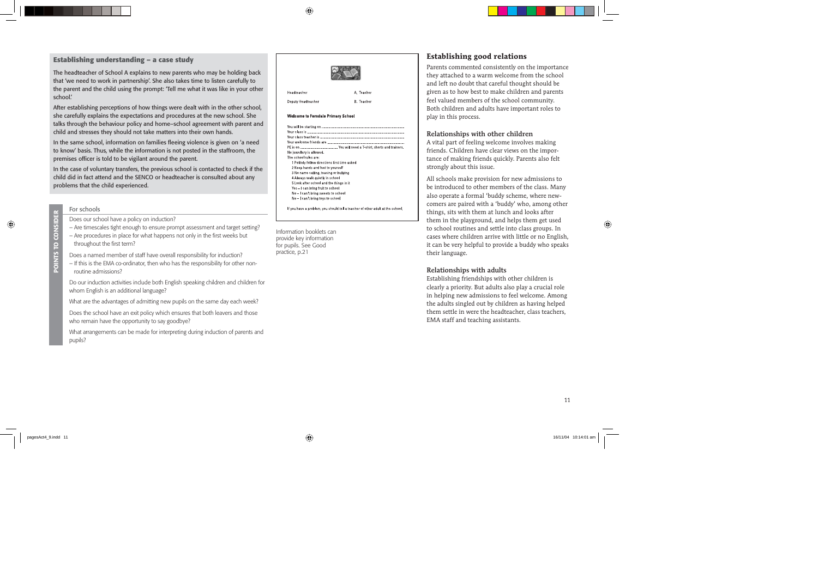### **Establishing understanding – a case study**

The headteacher of School A explains to new parents who may be holding back that 'we need to work in partnership'. She also takes time to listen carefully to the parent and the child using the prompt: 'Tell me what it was like in your other school.'

After establishing perceptions of how things were dealt with in the other school, she carefully explains the expectations and procedures at the new school. She talks through the behaviour policy and home–school agreement with parent and child and stresses they should not take matters into their own hands.

In the same school, information on families fleeing violence is given on 'a need to know' basis. Thus, while the information is not posted in the staffroom, the premises officer is told to be vigilant around the parent.

In the case of voluntary transfers, the previous school is contacted to check if the child did in fact attend and the SENCO or headteacher is consulted about any problems that the child experienced.

- 
- 
- 
- 
- For schools<br>
Does our school have a policy on induction?<br>
 Are timescales tight enough to ensure prompt assessment and target setting?<br>
 Are procedures in place for what happens not only in the first weeks but<br>
throughou

Do our induction activities include both English speaking children and children for whom English is an additional language?

What are the advantages of admitting new pupils on the same day each week?

Does the school have an exit policy which ensures that both leavers and those who remain have the opportunity to say goodbye?

What arrangements can be made for interpreting during induction of parents and pupils?

| Headteacher        | A. Teacher        |
|--------------------|-------------------|
| Deputy Headteacher | <b>B.</b> Teacher |

#### **Welcome to Ferndale Primary School**

You will be starting on ......... No jewellery is allowed. The school rules are: 1 Politely follow directions first time asked 2 Keep hands and feet to vourself 3 No name calling, teasing or bullying 4 Always walk quietly in school 5 Look after school and the things in it Yes-I can bring fruit to school No - Lean't bring sweets to school No-I can't bring toys to school If you have a problem, you should tell a teacher of other adult at the school.

Information booklets can provide key information for pupils. See Good practice, p.21

#### **Establishing good relations**

Parents commented consistently on the importance they attached to a warm welcome from the school and left no doubt that careful thought should be given as to how best to make children and parents feel valued members of the school community. Both children and adults have important roles to play in this process.

#### Relationships with other children

A vital part of feeling welcome involves making friends. Children have clear views on the importance of making friends quickly. Parents also felt strongly about this issue.

All schools make provision for new admissions to be introduced to other members of the class. Many also operate a formal 'buddy scheme, where newcomers are paired with a 'buddy' who, among other things, sits with them at lunch and looks after them in the playground, and helps them get used to school routines and settle into class groups. In cases where children arrive with little or no English, it can be very helpful to provide a buddy who speaks their language.

#### Relationships with adults

Establishing friendships with other children is clearly a priority. But adults also play a crucial role in helping new admissions to feel welcome. Among the adults singled out by children as having helped them settle in were the headteacher, class teachers, EMA staff and teaching assistants.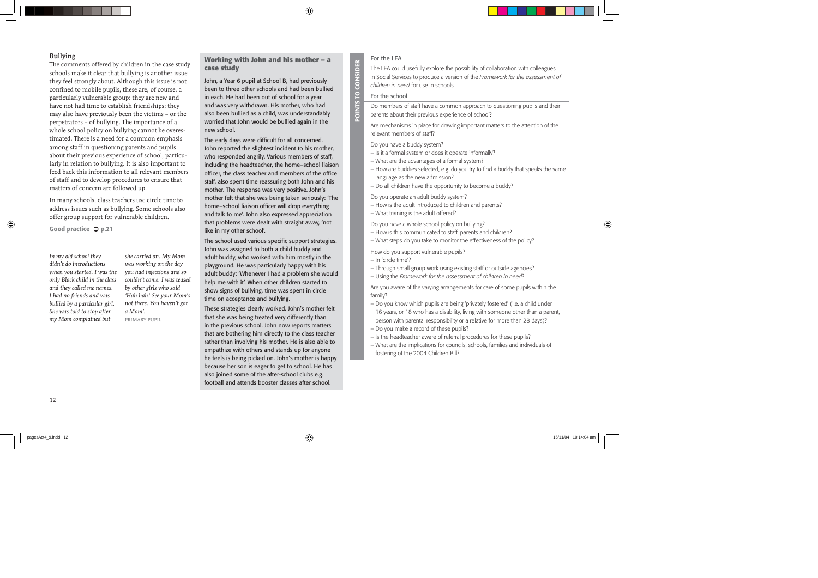### Bullying

The comments offered by children in the case study schools make it clear that bullying is another issue they feel strongly about. Although this issue is not confined to mobile pupils, these are, of course, a particularly vulnerable group: they are new and have not had time to establish friendships; they may also have previously been the victims – or the perpetrators – of bullying. The importance of a whole school policy on bullying cannot be overestimated. There is a need for a common emphasis among staff in questioning parents and pupils about their previous experience of school, particularly in relation to bullying. It is also important to feed back this information to all relevant members of staff and to develop procedures to ensure that matters of concern are followed up.

In many schools, class teachers use circle time to address issues such as bullying. Some schools also offer group support for vulnerable children.

**Good practice** ã **p.21**

*In my old school they didn't do introductions when you started. I was the only Black child in the class and they called me names. I had no friends and was bullied by a particular girl. She was told to stop after my Mom complained but* 

*she carried on. My Mom was working on the day you had injections and so couldn't come. I was teased by other girls who said 'Hah hah! See your Mom's not there. You haven't got a Mom'.*PRIMARY PUPIL

#### **Working with John and his mother – a case study**

John, a Year 6 pupil at School B, had previously been to three other schools and had been bullied in each. He had been out of school for a year and was very withdrawn. His mother, who had also been bullied as a child, was understandably worried that John would be bullied again in the new school.

The early days were difficult for all concerned. John reported the slightest incident to his mother, who responded angrily. Various members of staff, including the headteacher, the home–school liaison officer, the class teacher and members of the office staff, also spent time reassuring both John and his mother. The response was very positive. John's mother felt that she was being taken seriously: 'The home–school liaison officer will drop everything and talk to me'. John also expressed appreciation that problems were dealt with straight away, 'not like in my other school'.

The school used various specific support strategies. John was assigned to both a child buddy and adult buddy, who worked with him mostly in the playground. He was particularly happy with his adult buddy: 'Whenever I had a problem she would help me with it'. When other children started to show signs of bullying, time was spent in circle time on acceptance and bullying.

These strategies clearly worked. John's mother felt that she was being treated very differently than in the previous school. John now reports matters that are bothering him directly to the class teacher rather than involving his mother. He is also able to empathize with others and stands up for anyone he feels is being picked on. John's mother is happy because her son is eager to get to school. He has also joined some of the after-school clubs e.g. football and attends booster classes after school.

#### For the LEA

The LEA could usefully explore the possibility of collaboration with colleagues in Social Services to produce a version of the *Framework for the assessment of children in need* for use in schools.

#### For the school

**POINTS TO CONSIDER**

POINTS TO CONSIDER

Do members of staff have a common approach to questioning pupils and their parents about their previous experience of school?

Are mechanisms in place for drawing important matters to the attention of the relevant members of staff?

#### Do you have a buddy system?

- Is it a formal system or does it operate informally?
- What are the advantages of a formal system?
- How are buddies selected, e.g. do you try to find a buddy that speaks the same language as the new admission?
- Do all children have the opportunity to become a buddy?

Do you operate an adult buddy system?

- How is the adult introduced to children and parents?
- What training is the adult offered?

Do you have a whole school policy on bullying?

- How is this communicated to staff, parents and children?
- What steps do you take to monitor the effectiveness of the policy?

How do you support vulnerable pupils?

- In 'circle time'?
- Through small group work using existing staff or outside agencies?
- Using the *Framework for the assessment of children in need*?

Are you aware of the varying arrangements for care of some pupils within the family?

- Do you know which pupils are being 'privately fostered' (i.e. a child under 16 years, or 18 who has a disability, living with someone other than a parent, person with parental responsibility or a relative for more than 28 days)?
- Do you make a record of these pupils?
- Is the headteacher aware of referral procedures for these pupils?
- What are the implications for councils, schools, families and individuals of fostering of the 2004 Children Bill?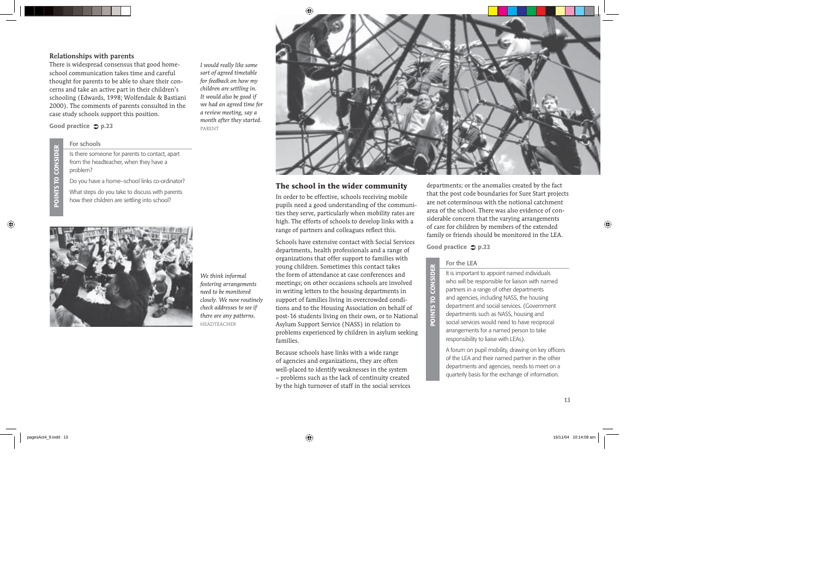#### Relationships with parents

There is widespread consensus that good homeschool communication takes time and careful thought for parents to be able to share their concerns and take an active part in their children's schooling (Edwards, 1998; Wolfendale & Bastiani 2000). The comments of parents consulted in the case study schools support this position.

**Good practice** ã **p.<sup>22</sup>**



*We think informal fostering arrangements need to be monitored closely. We now routinely check addresses to see if there are any patterns.* HEADTEACHER

*I would really like some sort of agreed timetable for feedback on how my children are settling in. It would also be good if we had an agreed time for a review meeting, say a month after they started.*

PARENT



ties they serve, particularly when mobility rates are high. The efforts of schools to develop links with a range of partners and colleagues reflect this.

Schools have extensive contact with Social Services departments, health professionals and a range of organizations that offer support to families with young children. Sometimes this contact takes the form of attendance at case conferences and meetings; on other occasions schools are involved in writing letters to the housing departments in support of families living in overcrowded conditions and to the Housing Association on behalf of post-16 students living on their own, or to National Asylum Support Service (NASS) in relation to problems experienced by children in asylum seeking families.

Because schools have links with a wide range of agencies and organizations, they are often well-placed to identify weaknesses in the system – problems such as the lack of continuity created by the high turnover of staff in the social services departments; or the anomalies created by the fact that the post code boundaries for Sure Start projects are not coterminous with the notional catchment area of the school. There was also evidence of considerable concern that the varying arrangements of care for children by members of the extended family or friends should be monitored in the LEA.

**Good practice** ã **p.<sup>22</sup>**

For the LEA<br>
It is important to appoint named individuals<br>
who will be responsible for liaison with named<br>
partners in a range of other departments<br>
and agencies, including NASS, the housing<br>
department and social services arrangements for a named person to take responsibility to liaise with LEAs).

> A forum on pupil mobility, drawing on key officers of the LEA and their named partner in the other departments and agencies, needs to meet on a quarterly basis for the exchange of information.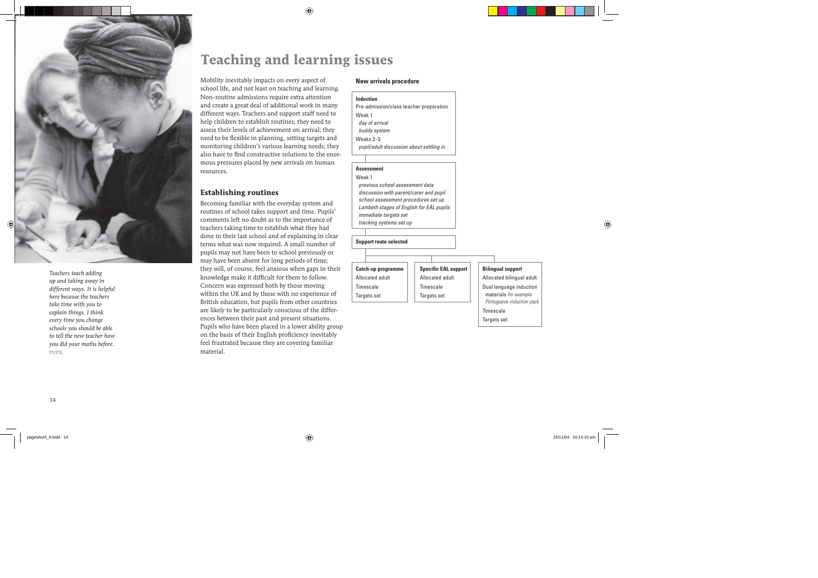

*Teachers teach adding up and taking away in different ways. It is helpful here because the teachers take time with you to explain things. I think every time you change schools you should be able to tell the new teacher how you did your maths before.* PUPIL

# **Teaching and learning issues**

◈

Mobility inevitably impacts on every aspect of school life, and not least on teaching and learning. Non-routine admissions require extra attention and create a great deal of additional work in many different ways. Teachers and support staff need to help children to establish routines; they need to assess their levels of achievement on arrival; they need to be flexible in planning, setting targets and monitoring children's various learning needs; they also have to find constructive solutions to the enormous pressures placed by new arrivals on human resources.

### **Establishing routines**

Becoming familiar with the everyday system and routines of school takes support and time. Pupils' comments left no doubt as to the importance of teachers taking time to establish what they had done in their last school and of explaining in clear terms what was now required. A small number of pupils may not have been to school previously or may have been absent for long periods of time; they will, of course, feel anxious when gaps in their knowledge make it difficult for them to follow. Concern was expressed both by those moving within the UK and by those with no experience of British education, but pupils from other countries are likely to be particularly conscious of the differences between their past and present situations. Pupils who have been placed in a lower ability group on the basis of their English proficiency inevitably feel frustrated because they are covering familiar material.

#### **New arrivals procedure**

#### **Induction**

Pre-admission/class teacher preparation Week 1*day of arrival buddy system* Weeks 2–3*pupil/adult discussion about settling in*

#### **Assessment**

Week 1

*previous school assessment data discussion with parent/carer and pupil school assessment procedures set up Lambeth stages of English for EAL pupils immediate targets set tracking systems set up*

#### **Support route selected**

| <b>Catch-up programme</b> | <b>Specific EAL support</b> |
|---------------------------|-----------------------------|
| Allocated adult           | Allocated adult             |
| Timescale                 | Timescale                   |
| Targets set               | Targets set                 |
|                           |                             |

**Bilingual support**

Allocated bilingual adult Dual language induction materials for example Portuguese induction pack Timescale Targets set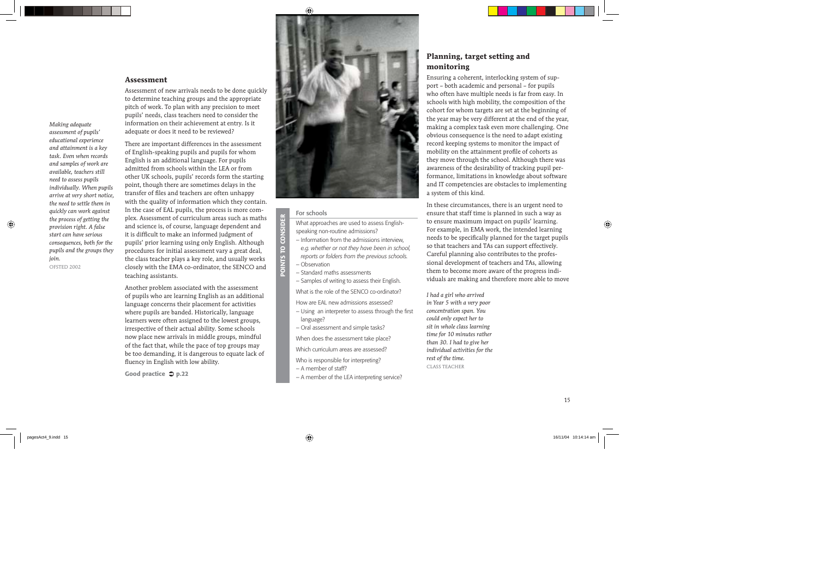

#### For schools

What approaches are used to assess Englishspeaking non-routine admissions?

- Information from the admissions interview,
- *e.g. whether or not they have been in school, reports or folders from the previous schools.*
- Observation

**POINTS TO CONSIDER**

CONSIDER

– Standard maths assessments

– Samples of writing to assess their English.

What is the role of the SENCO co-ordinator?

- How are EAL new admissions assessed?
- $-$  Using an interpreter to assess through the first language?
- Oral assessment and simple tasks?

When does the assessment take place?

- Which curriculum areas are assessed?
- Who is responsible for interpreting?
- A member of staff?
- A member of the LEA interpreting service?

### **Planning, target setting and monitoring**

Ensuring a coherent, interlocking system of support – both academic and personal – for pupils who often have multiple needs is far from easy. In schools with high mobility, the composition of the cohort for whom targets are set at the beginning of the year may be very different at the end of the year, making a complex task even more challenging. One obvious consequence is the need to adapt existing record keeping systems to monitor the impact of mobility on the attainment profile of cohorts as they move through the school. Although there was awareness of the desirability of tracking pupil performance, limitations in knowledge about software and IT competencies are obstacles to implementing a system of this kind.

In these circumstances, there is an urgent need to ensure that staff time is planned in such a way as to ensure maximum impact on pupils' learning. For example, in EMA work, the intended learning needs to be specifically planned for the target pupils so that teachers and TAs can support effectively. Careful planning also contributes to the professional development of teachers and TAs, allowing them to become more aware of the progress individuals are making and therefore more able to move

*I had a girl who arrived in Year 5 with a very poor concentration span. You could only expect her to sit in whole class learning time for 10 minutes rather than 30. I had to give her individual activities for the rest of the time.* CLASS TEACHER

#### **Assessment**

Assessment of new arrivals needs to be done quickly to determine teaching groups and the appropriate pitch of work. To plan with any precision to meet pupils' needs, class teachers need to consider the information on their achievement at entry. Is it adequate or does it need to be reviewed?

There are important differences in the assessment of English-speaking pupils and pupils for whom English is an additional language. For pupils admitted from schools within the LEA or from other UK schools, pupils' records form the starting point, though there are sometimes delays in the transfer of files and teachers are often unhappy with the quality of information which they contain. In the case of EAL pupils, the process is more complex. Assessment of curriculum areas such as maths and science is, of course, language dependent and it is difficult to make an informed judgment of pupils' prior learning using only English. Although procedures for initial assessment vary a great deal, the class teacher plays a key role, and usually works closely with the EMA co-ordinator, the SENCO and teaching assistants.

Another problem associated with the assessment of pupils who are learning English as an additional language concerns their placement for activities where pupils are banded. Historically, language learners were often assigned to the lowest groups, irrespective of their actual ability. Some schools now place new arrivals in middle groups, mindful of the fact that, while the pace of top groups may be too demanding, it is dangerous to equate lack of fluency in English with low ability.

*join.* OFSTED 2002

*Making adequate assessment of pupils' educational experience and attainment is a key task. Even when records and samples of work are available, teachers still need to assess pupils individually. When pupils arrive at very short notice, the need to settle them in quickly can work against the process of getting the provision right. A false start can have serious consequences, both for the pupils and the groups they*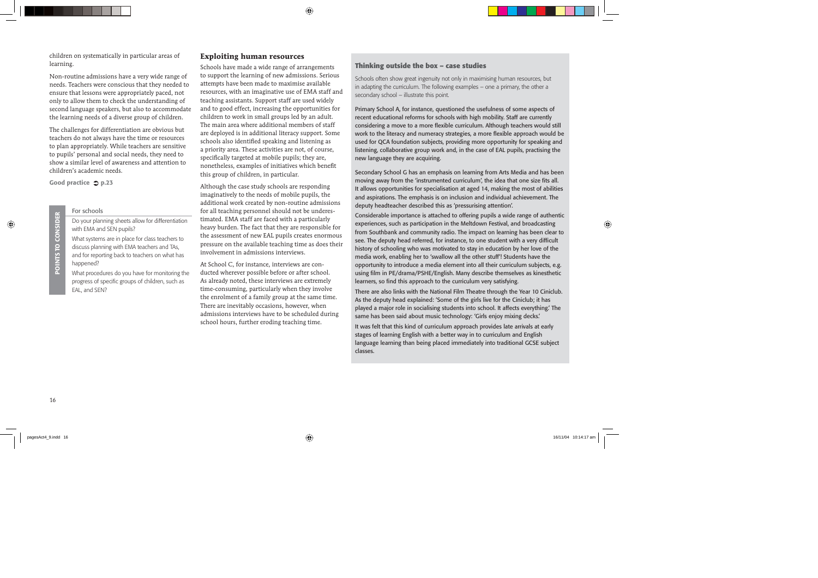children on systematically in particular areas of learning.

Non-routine admissions have a very wide range of needs. Teachers were conscious that they needed to ensure that lessons were appropriately paced, not only to allow them to check the understanding of second language speakers, but also to accommodate the learning needs of a diverse group of children.

The challenges for differentiation are obvious but teachers do not always have the time or resources to plan appropriately. While teachers are sensitive to pupils' personal and social needs, they need to show a similar level of awareness and attention to children's academic needs.

**Good practice** ã **p.<sup>23</sup>**

For schools<br>
Do your planning sheets allow for differentiation<br>
with EMA and SEN pupils?<br>
What systems are in place for class teachers to<br>
discuss planning with EMA teachers and TAs,<br>
and for reporting back to teachers on

progress of specific groups of children, such as EAL, and SEN?

#### **Exploiting human resources**

Schools have made a wide range of arrangements to support the learning of new admissions. Serious attempts have been made to maximise available resources, with an imaginative use of EMA staff and teaching assistants. Support staff are used widely and to good effect, increasing the opportunities for children to work in small groups led by an adult. The main area where additional members of staff are deployed is in additional literacy support. Some schools also identified speaking and listening as a priority area. These activities are not, of course, specifically targeted at mobile pupils; they are, nonetheless, examples of initiatives which benefit this group of children, in particular.

Although the case study schools are responding imaginatively to the needs of mobile pupils, the additional work created by non-routine admissions for all teaching personnel should not be underestimated. EMA staff are faced with a particularly heavy burden. The fact that they are responsible for the assessment of new EAL pupils creates enormous pressure on the available teaching time as does their involvement in admissions interviews.

At School C, for instance, interviews are conducted wherever possible before or after school. As already noted, these interviews are extremely time-consuming, particularly when they involve the enrolment of a family group at the same time. There are inevitably occasions, however, when admissions interviews have to be scheduled during school hours, further eroding teaching time.

#### **Thinking outside the box – case studies**

Schools often show great ingenuity not only in maximising human resources, but in adapting the curriculum. The following examples – one a primary, the other a secondary school – illustrate this point.

Primary School A, for instance, questioned the usefulness of some aspects of recent educational reforms for schools with high mobility. Staff are currently considering a move to a more flexible curriculum. Although teachers would still work to the literacy and numeracy strategies, a more flexible approach would be used for QCA foundation subjects, providing more opportunity for speaking and listening, collaborative group work and, in the case of EAL pupils, practising the new language they are acquiring.

Secondary School G has an emphasis on learning from Arts Media and has been moving away from the 'instrumented curriculum', the idea that one size fits all. It allows opportunities for specialisation at aged 14, making the most of abilities and aspirations. The emphasis is on inclusion and individual achievement. The deputy headteacher described this as 'pressurising attention'.

Considerable importance is attached to offering pupils a wide range of authentic experiences, such as participation in the Meltdown Festival, and broadcasting from Southbank and community radio. The impact on learning has been clear to see. The deputy head referred, for instance, to one student with a very difficult history of schooling who was motivated to stay in education by her love of the media work, enabling her to 'swallow all the other stuff'! Students have the opportunity to introduce a media element into all their curriculum subjects, e.g. using film in PE/drama/PSHE/English. Many describe themselves as kinesthetic learners, so find this approach to the curriculum very satisfying.

There are also links with the National Film Theatre through the Year 10 Ciniclub. As the deputy head explained: 'Some of the girls live for the Ciniclub; it has played a major role in socialising students into school. It affects everything.' The same has been said about music technology: 'Girls enjoy mixing decks.'

It was felt that this kind of curriculum approach provides late arrivals at early stages of learning English with a better way in to curriculum and English language learning than being placed immediately into traditional GCSE subject classes.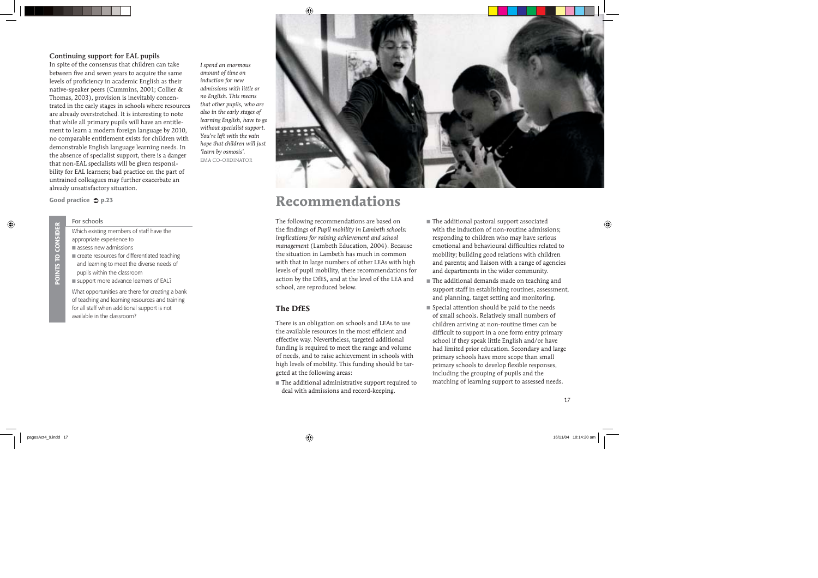#### Continuing support for EAL pupils

In spite of the consensus that children can take between five and seven years to acquire the same levels of proficiency in academic English as their native-speaker peers (Cummins, 2001; Collier & Thomas, 2003), provision is inevitably concentrated in the early stages in schools where resources are already overstretched. It is interesting to note that while all primary pupils will have an entitlement to learn a modern foreign language by 2010, no comparable entitlement exists for children with demonstrable English language learning needs. In the absence of specialist support, there is a danger that non-EAL specialists will be given responsibility for EAL learners; bad practice on the part of untrained colleagues may further exacerbate an already unsatisfactory situation.

*I spend an enormous amount of time on induction for new admissions with little or no English. This means that other pupils, who are also in the early stages of learning English, have to go without specialist support. You're left with the vain hope that children will just 'learn by osmosis'.*  EMA CO-ORDINATOR



**Good practice** ã **p.<sup>23</sup>**

⊕

- 
- 
- 
- 
- For schools<br>
Which existing members of staff have the<br>
appropriate experience to<br> **EXECUTE:**<br> **EXECUTE:**<br> **EXECUTE:**<br> **EXECUTE:**<br> **EXECUTE:**<br> **EXECUTE:**<br> **EXECUTE:**<br> **EXECUTE:**<br> **EXECUTE:**<br> **EXECUTE:**<br> **EXECUTE:**<br> **EXECUTE** 
	-

What opportunities are there for creating a bank of teaching and learning resources and training for all staff when additional support is not available in the classroom?

# **Recommendations**

The following recommendations are based on the findings of *Pupil mobility in Lambeth schools: implications for raising achievement and school management* (Lambeth Education, 2004). Because the situation in Lambeth has much in common with that in large numbers of other LEAs with high levels of pupil mobility, these recommendations for action by the DfES, and at the level of the LEA and school, are reproduced below.

### **The DfES**

There is an obligation on schools and LEAs to use the available resources in the most efficient and effective way. Nevertheless, targeted additional funding is required to meet the range and volume of needs, and to raise achievement in schools with high levels of mobility. This funding should be targeted at the following areas:

■ The additional administrative support required to deal with admissions and record-keeping.

- The additional pastoral support associated with the induction of non-routine admissions; responding to children who may have serious emotional and behavioural difficulties related to mobility; building good relations with children and parents; and liaison with a range of agencies and departments in the wider community.
- The additional demands made on teaching and support staff in establishing routines, assessment, and planning, target setting and monitoring.
- Special attention should be paid to the needs of small schools. Relatively small numbers of children arriving at non-routine times can be difficult to support in a one form entry primary school if they speak little English and/or have had limited prior education. Secondary and large primary schools have more scope than small primary schools to develop flexible responses, including the grouping of pupils and the matching of learning support to assessed needs.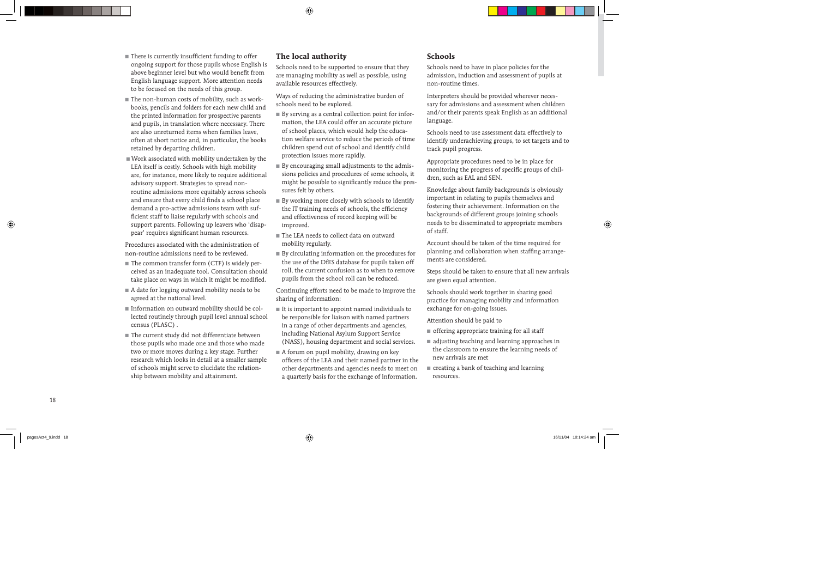- There is currently insufficient funding to offer ongoing support for those pupils whose English is above beginner level but who would benefit from English language support. More attention needs to be focused on the needs of this group.
- The non-human costs of mobility, such as workbooks, pencils and folders for each new child and the printed information for prospective parents and pupils, in translation where necessary. There are also unreturned items when families leave, often at short notice and, in particular, the books retained by departing children.
- Work associated with mobility undertaken by the LEA itself is costly. Schools with high mobility are, for instance, more likely to require additional advisory support. Strategies to spread nonroutine admissions more equitably across schools and ensure that every child finds a school place demand a pro-active admissions team with sufficient staff to liaise regularly with schools and support parents. Following up leavers who 'disappear' requires significant human resources.

Procedures associated with the administration of non-routine admissions need to be reviewed.

- The common transfer form (CTF) is widely perceived as an inadequate tool. Consultation should take place on ways in which it might be modified.
- A date for logging outward mobility needs to be agreed at the national level.
- Information on outward mobility should be collected routinely through pupil level annual school census (PLASC) .
- The current study did not differentiate between those pupils who made one and those who made two or more moves during a key stage. Further research which looks in detail at a smaller sample of schools might serve to elucidate the relationship between mobility and attainment.

#### **The local authority**

Schools need to be supported to ensure that they are managing mobility as well as possible, using available resources effectively.

Ways of reducing the administrative burden of schools need to be explored.

- By serving as a central collection point for information, the LEA could offer an accurate picture of school places, which would help the education welfare service to reduce the periods of time children spend out of school and identify child protection issues more rapidly.
- By encouraging small adjustments to the admissions policies and procedures of some schools, it might be possible to significantly reduce the pressures felt by others.
- By working more closely with schools to identify the IT training needs of schools, the efficiency and effectiveness of record keeping will be improved.
- The LEA needs to collect data on outward mobility regularly.
- By circulating information on the procedures for the use of the DfES database for pupils taken off roll, the current confusion as to when to remove pupils from the school roll can be reduced.

Continuing efforts need to be made to improve the sharing of information:

- It is important to appoint named individuals to be responsible for liaison with named partners in a range of other departments and agencies, including National Asylum Support Service (NASS), housing department and social services.
- A forum on pupil mobility, drawing on key officers of the LEA and their named partner in the other departments and agencies needs to meet on a quarterly basis for the exchange of information.

### **Schools**

Schools need to have in place policies for the admission, induction and assessment of pupils at non-routine times.

Interpreters should be provided wherever necessary for admissions and assessment when children and/or their parents speak English as an additional language.

Schools need to use assessment data effectively to identify underachieving groups, to set targets and to track pupil progress.

Appropriate procedures need to be in place for monitoring the progress of specific groups of children, such as EAL and SEN.

Knowledge about family backgrounds is obviously important in relating to pupils themselves and fostering their achievement. Information on the backgrounds of different groups joining schools needs to be disseminated to appropriate members of staff.

Account should be taken of the time required for planning and collaboration when staffing arrangements are considered.

Steps should be taken to ensure that all new arrivals are given equal attention.

Schools should work together in sharing good practice for managing mobility and information exchange for on-going issues.

Attention should be paid to

■ offering appropriate training for all staff

- adjusting teaching and learning approaches in the classroom to ensure the learning needs of new arrivals are met
- creating a bank of teaching and learning resources.

⊕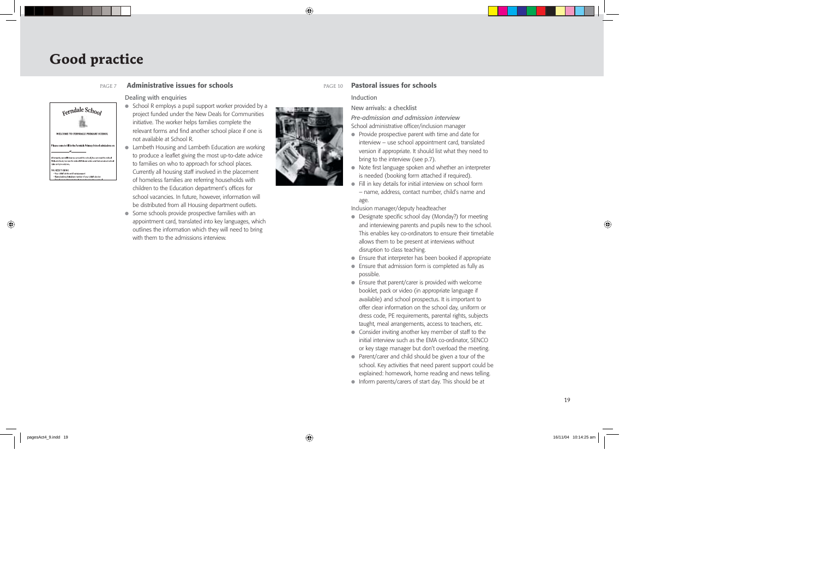# **Good practice**

PAGE 7

## Ferndale School WELCOME TO FERNDALE PRIMARY SCHOOL isea coma to fill in tha Farndala Primary School admissio .<br>Afterwards, we will show you around the school. You can read the school<br>Welcome book, borrow the school Welcome video and find out about scho maximu book, bond .<br>VOLLMEED TO BRIME -<br>Your child's birth certificate/passport<br>- Name/address/telephone number of your child's doct

#### **Administrative issues for schools Pastoral issues for schools**

Dealing with enquiries

- School R employs a pupil support worker provided by a project funded under the New Deals for Communities initiative. The worker helps families complete the relevant forms and find another school place if one is not available at School R.
- Lambeth Housing and Lambeth Education are working to produce a leaflet giving the most up-to-date advice to families on who to approach for school places. Currently all housing staff involved in the placement of homeless families are referring households with children to the Education department's offices for school vacancies. In future, however, information will be distributed from all Housing department outlets.
- Some schools provide prospective families with an appointment card, translated into key languages, which outlines the information which they will need to bring with them to the admissions interview.



#### PAGE 10

#### Induction

#### New arrivals: a checklist

*Pre-admission and admission interview*School administrative officer/inclusion manager

- Provide prospective parent with time and date for interview – use school appointment card, translated version if appropriate. It should list what they need to bring to the interview (see p.7).
- Note first language spoken and whether an interpreter is needed (booking form attached if required).
- ● Fill in key details for initial interview on school form – name, address, contact number, child's name and age.

Inclusion manager/deputy headteacher

- Designate specific school day (Monday?) for meeting and interviewing parents and pupils new to the school. This enables key co-ordinators to ensure their timetable allows them to be present at interviews without disruption to class teaching.
- ●Ensure that interpreter has been booked if appropriate
- Ensure that admission form is completed as fully as possible.
- Ensure that parent/carer is provided with welcome booklet, pack or video (in appropriate language if available) and school prospectus. It is important to offer clear information on the school day, uniform or dress code, PE requirements, parental rights, subjects taught, meal arrangements, access to teachers, etc.
- Consider inviting another key member of staff to the initial interview such as the EMA co-ordinator, SENCO or key stage manager but don't overload the meeting.
- Parent/carer and child should be given a tour of the school. Key activities that need parent support could be explained: homework, home reading and news telling.
- Inform parents/carers of start day. This should be at

◈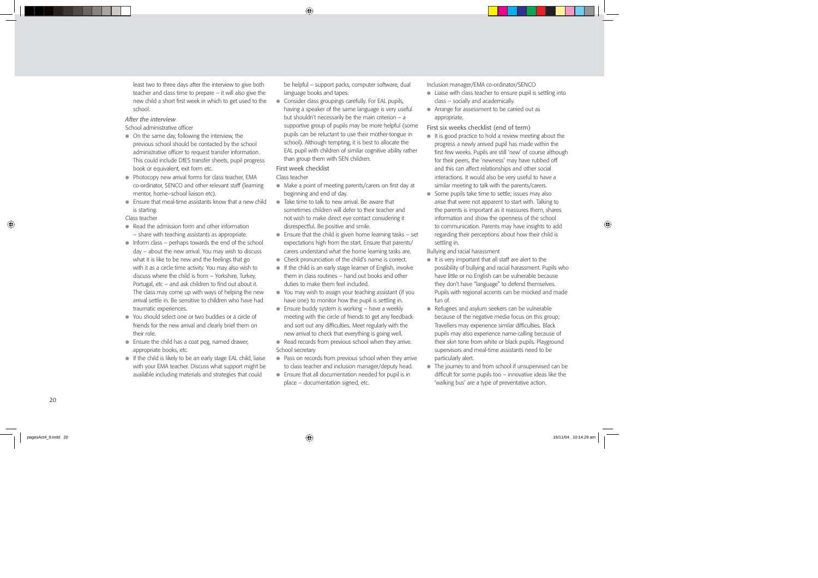least two to three days after the interview to give both teacher and class time to prepare – it will also give the new child a short first week in which to get used to the school.

#### *After the interview*

School administrative officer

- On the same day, following the interview, the previous school should be contacted by the school administrative officer to request transfer information. This could include DfES transfer sheets, pupil progress book or equivalent, exit form etc.
- Photocopy new arrival forms for class teacher, EMA co-ordinator, SENCO and other relevant staff (learning mentor, home–school liaison etc).
- Ensure that meal-time assistants know that a new child is starting.

#### Class teacher

- Read the admission form and other information – share with teaching assistants as appropriate.
- Inform class perhaps towards the end of the school day – about the new arrival. You may wish to discuss what it is like to be new and the feelings that go with it as a circle time activity. You may also wish to discuss where the child is from – Yorkshire, Turkey, Portugal,  $etc - and$  ask children to find out about it. The class may come up with ways of helping the new arrival settle in. Be sensitive to children who have had traumatic experiences.
- You should select one or two buddies or a circle of friends for the new arrival and clearly brief them on their role.
- Ensure the child has a coat peg, named drawer, appropriate books, etc.
- If the child is likely to be an early stage EAL child, liaise with your EMA teacher. Discuss what support might be available including materials and strategies that could

be helpful – support packs, computer software, dual language books and tapes.

● Consider class groupings carefully. For EAL pupils, having a speaker of the same language is very useful but shouldn't necessarily be the main criterion – a supportive group of pupils may be more helpful (some pupils can be reluctant to use their mother-tongue in school). Although tempting, it is best to allocate the EAL pupil with children of similar cognitive ability rather than group them with SEN children.

#### First week checklist

Class teacher

- Make a point of meeting parents/carers on first day at beginning and end of day.
- Take time to talk to new arrival. Be aware that sometimes children will defer to their teacher and not wish to make direct eye contact considering it disrespectful. Be positive and smile.
- $\bullet$  Ensure that the child is given home learning tasks  $-$  set expectations high from the start. Ensure that parents/ carers understand what the home learning tasks are.
- Check pronunciation of the child's name is correct.
- If the child is an early stage learner of English, involve them in class routines – hand out books and other duties to make them feel included.
- You may wish to assign your teaching assistant (if you have one) to monitor how the pupil is settling in.
- Ensure buddy system is working have a weekly meeting with the circle of friends to get any feedback and sort out any difficulties. Meet regularly with the new arrival to check that everything is going well.
- Read records from previous school when they arrive. School secretary
- Pass on records from previous school when they arrive to class teacher and inclusion manager/deputy head.
- Ensure that all documentation needed for pupil is in place – documentation signed, etc.

Inclusion manager/EMA co-ordinator/SENCO

- Liaise with class teacher to ensure pupil is settling into class – socially and academically.
- Arrange for assessment to be carried out as appropriate.

First six weeks checklist (end of term)

- It is good practice to hold a review meeting about the progress a newly arrived pupil has made within the first few weeks. Pupils are still 'new' of course although for their peers, the 'newness' may have rubbed off and this can affect relationships and other social interactions. It would also be very useful to have a similar meeting to talk with the parents/carers.
- Some pupils take time to settle; issues may also arise that were not apparent to start with. Talking to the parents is important as it reassures them, shares information and show the openness of the school to communication. Parents may have insights to add regarding their perceptions about how their child is settling in.

Bullying and racial harassment

- It is very important that all staff are alert to the possibility of bullying and racial harassment. Pupils who have little or no English can be vulnerable because they don't have "language" to defend themselves. Pupils with regional accents can be mocked and made fun of
- Refugees and asylum seekers can be vulnerable because of the negative media focus on this group; Travellers may experience similar difficulties. Black pupils may also experience name-calling because of their skin tone from white or black pupils. Playground supervisors and meal-time assistants need to be particularly alert.
- The journey to and from school if unsupervised can be difficult for some pupils too  $-$  innovative ideas like the 'walking bus' are a type of preventative action.

⊕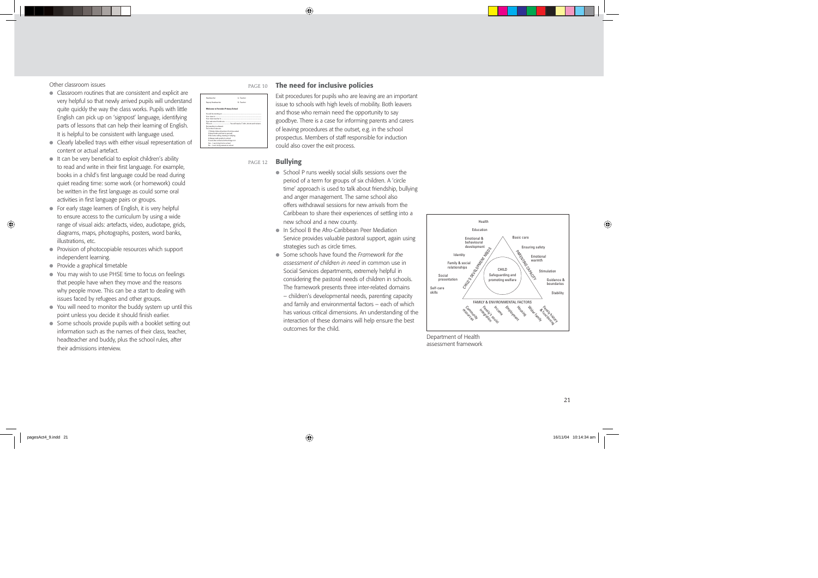Other classroom issues

- Classroom routines that are consistent and explicit are very helpful so that newly arrived pupils will understand quite quickly the way the class works. Pupils with little English can pick up on 'signpost' language, identifying parts of lessons that can help their learning of English. It is helpful to be consistent with language used.
- Clearly labelled trays with either visual representation of content or actual artefact.
- It can be very beneficial to exploit children's ability to read and write in their first language. For example, books in a child's first language could be read during quiet reading time: some work (or homework) could be written in the first language as could some oral activities in first language pairs or groups.
- For early stage learners of English, it is very helpful to ensure access to the curriculum by using a wide range of visual aids: artefacts, video, audiotape, grids, diagrams, maps, photographs, posters, word banks, illustrations, etc.
- Provision of photocopiable resources which support independent learning.
- Provide a graphical timetable
- You may wish to use PHSE time to focus on feelings that people have when they move and the reasons why people move. This can be a start to dealing with issues faced by refugees and other groups.
- You will need to monitor the buddy system up until this point unless you decide it should finish earlier.
- Some schools provide pupils with a booklet setting out information such as the names of their class, teacher, headteacher and buddy, plus the school rules, after their admissions interview.



bring toys to school

#### **The need for inclusive policies** PAGE 10

Exit procedures for pupils who are leaving are an important issue to schools with high levels of mobility. Both leavers and those who remain need the opportunity to say goodbye. There is a case for informing parents and carers of leaving procedures at the outset, e.g. in the school prospectus. Members of staff responsible for induction could also cover the exit process.

#### **Bullying** PAGE 12

- School P runs weekly social skills sessions over the period of a term for groups of six children. A 'circle time' approach is used to talk about friendship, bullying and anger management. The same school also offers withdrawal sessions for new arrivals from the Caribbean to share their experiences of settling into a new school and a new county.
- In School B the Afro-Caribbean Peer Mediation Service provides valuable pastoral support, again using strategies such as circle times.
- Some schools have found the *Framework for the assessment of children in need* in common use in Social Services departments, extremely helpful in considering the pastoral needs of children in schools. The framework presents three inter-related domains – children's developmental needs, parenting capacity and family and environmental factors – each of which has various critical dimensions. An understanding of the interaction of these domains will help ensure the best outcomes for the child.



Department of Health assessment framework

⊕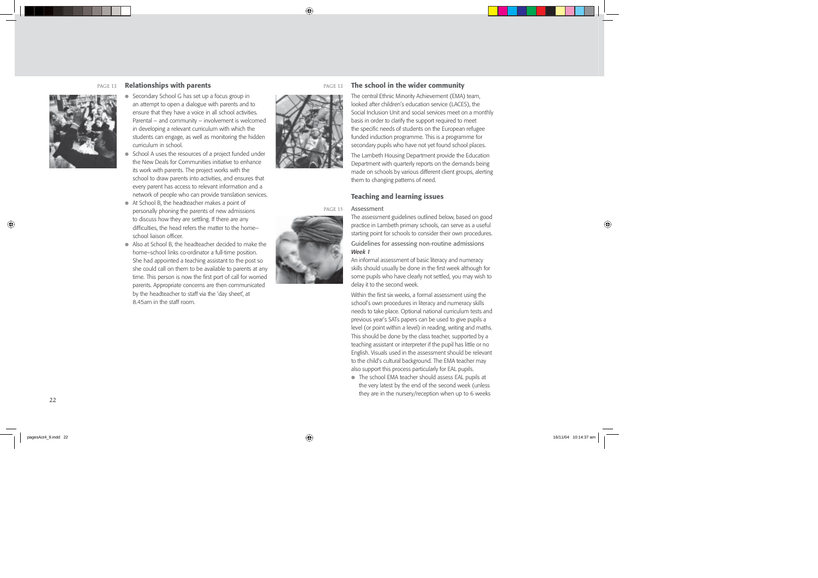

#### **Relationships with parents** PAGE 13

- Secondary School G has set up a focus group in an attempt to open a dialogue with parents and to ensure that they have a voice in all school activities. Parental – and community – involvement is welcomed in developing a relevant curriculum with which the students can engage, as well as monitoring the hidden curriculum in school.
- School A uses the resources of a project funded under the New Deals for Communities initiative to enhance its work with parents. The project works with the school to draw parents into activities, and ensures that every parent has access to relevant information and a network of people who can provide translation services.
- At School B, the headteacher makes a point of personally phoning the parents of new admissions to discuss how they are settling. If there are any difficulties, the head refers the matter to the homeschool liaison officer
- Also at School B, the headteacher decided to make the home–school links co-ordinator a full-time position. She had appointed a teaching assistant to the post so she could call on them to be available to parents at any time. This person is now the first port of call for worried parents. Appropriate concerns are then communicated by the headteacher to staff via the 'day sheet', at 8.45am in the staff room.



#### **The school in the wider community** PAGE 13

The central Ethnic Minority Achievement (EMA) team, looked after children's education service (LACES), the Social Inclusion Unit and social services meet on a monthly basis in order to clarify the support required to meet the specific needs of students on the European refugee funded induction programme. This is a programme for secondary pupils who have not yet found school places.

The Lambeth Housing Department provide the Education Department with quarterly reports on the demands being made on schools by various different client groups, alerting them to changing patterns of need.

### **Teaching and learning issues**

#### Assessment PAGE 15



The assessment guidelines outlined below, based on good practice in Lambeth primary schools, can serve as a useful starting point for schools to consider their own procedures. Guidelines for assessing non-routine admissions

An informal assessment of basic literacy and numeracy skills should usually be done in the first week although for some pupils who have clearly not settled, you may wish to delay it to the second week.

Within the first six weeks, a formal assessment using the school's own procedures in literacy and numeracy skills needs to take place. Optional national curriculum tests and previous year's SATs papers can be used to give pupils a level (or point within a level) in reading, writing and maths. This should be done by the class teacher, supported by a teaching assistant or interpreter if the pupil has little or no English. Visuals used in the assessment should be relevant to the child's cultural background. The EMA teacher may also support this process particularly for EAL pupils.

● The school EMA teacher should assess EAL pupils at the very latest by the end of the second week (unless they are in the nursery/reception when up to 6 weeks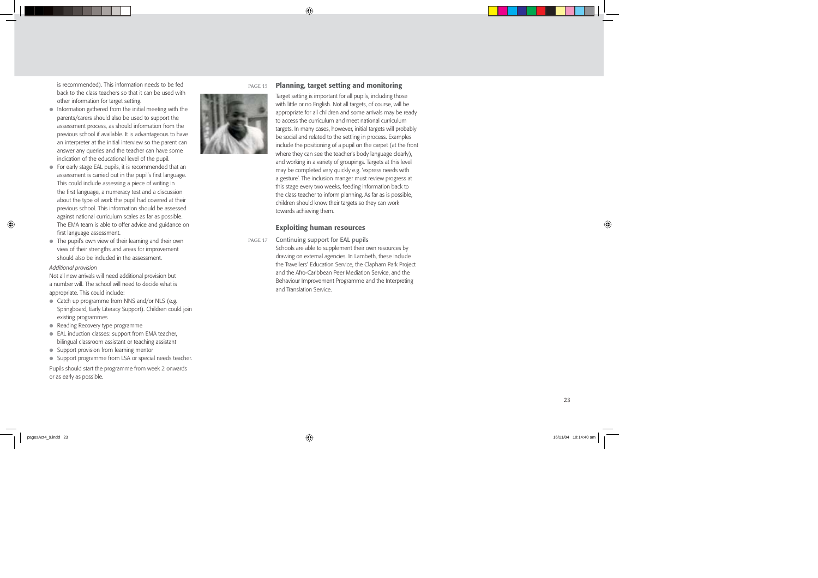is recommended). This information needs to be fed back to the class teachers so that it can be used with other information for target setting.

- Information gathered from the initial meeting with the parents/carers should also be used to support the assessment process, as should information from the previous school if available. It is advantageous to have an interpreter at the initial interview so the parent can answer any queries and the teacher can have some indication of the educational level of the pupil.
- For early stage EAL pupils, it is recommended that an assessment is carried out in the pupil's first language. This could include assessing a piece of writing in the first language, a numeracy test and a discussion about the type of work the pupil had covered at their previous school. This information should be assessed against national curriculum scales as far as possible. The EMA team is able to offer advice and guidance on first language assessment.
- The pupil's own view of their learning and their own view of their strengths and areas for improvement should also be included in the assessment.

#### *Additional provision*

Not all new arrivals will need additional provision but a number will. The school will need to decide what is appropriate. This could include:

- Catch up programme from NNS and/or NLS (e.g. Springboard, Early Literacy Support). Children could join existing programmes
- Reading Recovery type programme
- EAL induction classes: support from EMA teacher, bilingual classroom assistant or teaching assistant
- Support provision from learning mentor
- Support programme from LSA or special needs teacher.

Pupils should start the programme from week 2 onwards or as early as possible.

#### **Planning, target setting and monitoring** PAGE 15

◈



Target setting is important for all pupils, including those with little or no English. Not all targets, of course, will be appropriate for all children and some arrivals may be ready to access the curriculum and meet national curriculum targets. In many cases, however, initial targets will probably be social and related to the settling in process. Examples include the positioning of a pupil on the carpet (at the front where they can see the teacher's body language clearly), and working in a variety of groupings. Targets at this level may be completed very quickly e.g. 'express needs with a gesture'. The inclusion manger must review progress at this stage every two weeks, feeding information back to the class teacher to inform planning. As far as is possible, children should know their targets so they can work towards achieving them.

#### **Exploiting human resources**

Continuing support for EAL pupils Schools are able to supplement their own resources by drawing on external agencies. In Lambeth, these include the Travellers' Education Service, the Clapham Park Project and the Afro-Caribbean Peer Mediation Service, and the Behaviour Improvement Programme and the Interpreting and Translation Service.PAGE 17

 $\langle\langle\!\!\!\langle}\rangle\!\!\!\rangle$ pagesAct4\_9.indd 23 agesAct4\_9.indd 23 agesAct4\_9.indd 16/11/04 10:14:40 am 6/11/04 10:14:40 am 6/11/04 10:14:40 am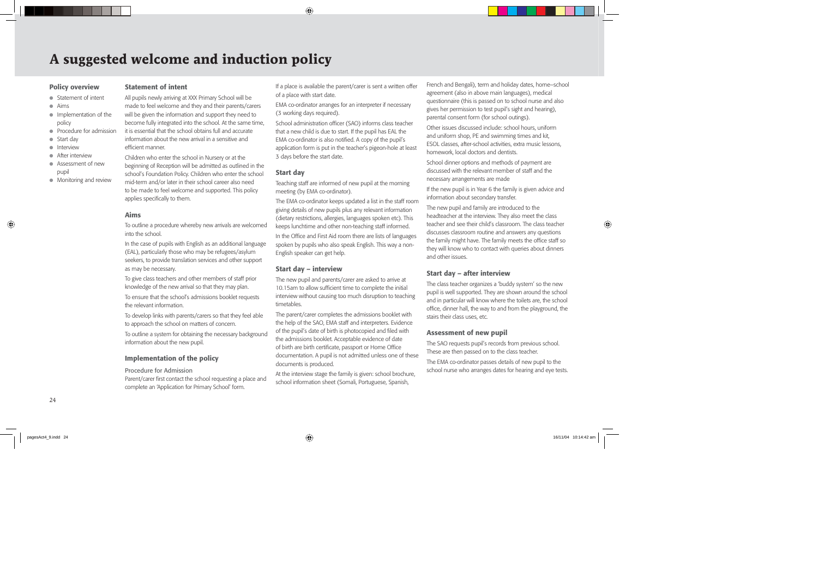# **A suggested welcome and induction policy**

#### **Policy overview**

## ● Statement of intent

● Aims ● Implementation of the policy

- Procedure for admission
- Start day
- Interview

⊕

- After interview
- Assessment of new pupil
- Monitoring and review

## **Statement of intent**

All pupils newly arriving at XXX Primary School will be made to feel welcome and they and their parents/carers will be given the information and support they need to become fully integrated into the school. At the same time, it is essential that the school obtains full and accurate information about the new arrival in a sensitive and efficient manner.

beginning of Reception will be admitted as outlined in the school's Foundation Policy. Children who enter the school mid-term and/or later in their school career also need to be made to feel welcome and supported. This policy applies specifically to them.

Children who enter the school in Nursery or at the

#### **Aims**

To outline a procedure whereby new arrivals are welcomed into the school.

In the case of pupils with English as an additional language (EAL), particularly those who may be refugees/asylum seekers, to provide translation services and other support as may be necessary.

To give class teachers and other members of staff prior knowledge of the new arrival so that they may plan.

To ensure that the school's admissions booklet requests the relevant information.

To develop links with parents/carers so that they feel able to approach the school on matters of concern.

To outline a system for obtaining the necessary background information about the new pupil.

#### **Implementation of the policy**

#### Procedure for Admission

Parent/carer first contact the school requesting a place and complete an 'Application for Primary School' form.

If a place is available the parent/carer is sent a written offer of a place with start date.

EMA co-ordinator arranges for an interpreter if necessary (3 working days required).

School administration officer (SAO) informs class teacher that a new child is due to start. If the pupil has EAL the EMA co-ordinator is also notified. A copy of the pupil's application form is put in the teacher's pigeon-hole at least 3 days before the start date.

#### **Start day**

Teaching staff are informed of new pupil at the morning meeting (by EMA co-ordinator).

The EMA co-ordinator keeps updated a list in the staff room giving details of new pupils plus any relevant information (dietary restrictions, allergies, languages spoken etc). This keeps lunchtime and other non-teaching staff informed.

In the Office and First Aid room there are lists of languages spoken by pupils who also speak English. This way a non-English speaker can get help.

#### **Start day – interview**

The new pupil and parents/carer are asked to arrive at 10.15am to allow sufficient time to complete the initial interview without causing too much disruption to teaching timetables.

The parent/carer completes the admissions booklet with the help of the SAO, EMA staff and interpreters. Evidence of the pupil's date of birth is photocopied and filed with the admissions booklet. Acceptable evidence of date of birth are birth certificate, passport or Home Office documentation. A pupil is not admitted unless one of these documents is produced.

At the interview stage the family is given: school brochure, school information sheet (Somali, Portuguese, Spanish,

French and Bengali), term and holiday dates, home–school agreement (also in above main languages), medical questionnaire (this is passed on to school nurse and also gives her permission to test pupil's sight and hearing), parental consent form (for school outings).

Other issues discussed include: school hours, uniform and uniform shop, PE and swimming times and kit, ESOL classes, after-school activities, extra music lessons, homework, local doctors and dentists.

School dinner options and methods of payment are discussed with the relevant member of staff and the necessary arrangements are made

If the new pupil is in Year 6 the family is given advice and information about secondary transfer.

The new pupil and family are introduced to the headteacher at the interview. They also meet the class teacher and see their child's classroom. The class teacher discusses classroom routine and answers any questions the family might have. The family meets the office staff so they will know who to contact with queries about dinners and other issues.

#### **Start day – after interview**

The class teacher organizes a 'buddy system' so the new pupil is well supported. They are shown around the school and in particular will know where the toilets are, the school office, dinner hall, the way to and from the playground, the stairs their class uses, etc.

#### **Assessment of new pupil**

The SAO requests pupil's records from previous school. These are then passed on to the class teacher.

The EMA co-ordinator passes details of new pupil to the school nurse who arranges dates for hearing and eye tests.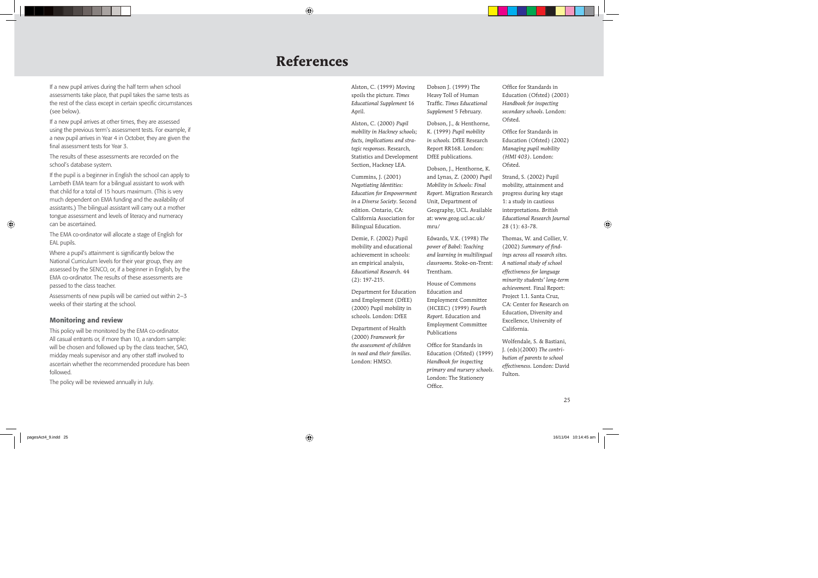$\bigoplus$ 

## **References**

If a new pupil arrives during the half term when school assessments take place, that pupil takes the same tests as the rest of the class except in certain specific circumstances (see below).

If a new pupil arrives at other times, they are assessed using the previous term's assessment tests. For example, if a new pupil arrives in Year 4 in October, they are given the final assessment tests for Year 3.

The results of these assessments are recorded on the school's database system.

If the pupil is a beginner in English the school can apply to Lambeth EMA team for a bilingual assistant to work with that child for a total of 15 hours maximum. (This is very much dependent on EMA funding and the availability of assistants.) The bilingual assistant will carry out a mother tongue assessment and levels of literacy and numeracy can be ascertained.

The EMA co-ordinator will allocate a stage of English for EAL pupils.

Where a pupil's attainment is significantly below the National Curriculum levels for their year group, they are assessed by the SENCO, or, if a beginner in English, by the EMA co-ordinator. The results of these assessments are passed to the class teacher.

Assessments of new pupils will be carried out within 2–3 weeks of their starting at the school.

#### **Monitoring and review**

This policy will be monitored by the EMA co-ordinator. All casual entrants or, if more than 10, a random sample: will be chosen and followed up by the class teacher, SAO, midday meals supervisor and any other staff involved to ascertain whether the recommended procedure has been followed.

The policy will be reviewed annually in July.

Alston, C. (1999) Moving spoils the picture. *Times Educational Supplement* 16 April.

Alston, C. (2000) *Pupil mobility in Hackney schools; facts, implications and strategic responses*. Research, Statistics and Development Section, Hackney LEA.

Cummins, J. (2001) *Negotiating Identities: Education for Empowerment in a Diverse Society*. Second edition. Ontario, CA: California Association for Bilingual Education.

Demie, F. (2002) Pupil mobility and educational achievement in schools: an empirical analysis, *Educational Research.* 44 (2): 197-215.

Department for Education and Employment (DfEE) (2000) Pupil mobility in schools. London: DfEE

Department of Health (2000) *Framework for the assessment of children in need and their families*. London: HMSO.

Dobson J. (1999) The Heavy Toll of Human Traffic. *Times Educational Supplement* 5 February.

Dobson, J., & Henthorne, K. (1999) *Pupil mobility in schools.* DfEE Research Report RR168. London: DfEE publications.

Dobson, J., Henthorne, K. and Lynas, Z. (2000) *Pupil Mobility in Schools: Final Report*. Migration Research Unit, Department of Geography, UCL. Available at: www.geog.ucl.ac.uk/ mru/

Edwards, V.K. (1998) *The power of Babel: Teaching and learning in multilingual classrooms*. Stoke-on-Trent: Trentham.

House of Commons Education and Employment Committee (HCEEC) (1999) *Fourth Report*. Education and Employment Committee Publications

Office for Standards in Education (Ofsted) (1999) *Handbook for inspecting primary and nursery schools.* London: The Stationery Office.

Office for Standards in Education (Ofsted) (2003) *Handbook for inspecting secondary schools*. London: Ofsted.

Office for Standards in Education (Ofsted) (2002) *Managing pupil mobility (HMI 403)*. London: Ofsted.

Strand, S. (2002) Pupil mobility, attainment and progress during key stage 1: a study in cautious interpretations. *British Educational Research Journal* 28 (1): 63-78.

Thomas, W. and Collier, V. (2002) Summary of find*ings across all research sites. A national study of school effectiveness for language minority students' long-term achievement.* Final Report: Project 1.1. Santa Cruz, CA: Center for Research on Education, Diversity and Excellence, University of California.

Wolfendale, S. & Bastiani, J. (eds)(2000) *The contribution of parents to school effectiveness*. London: David Fulton.

25

⊕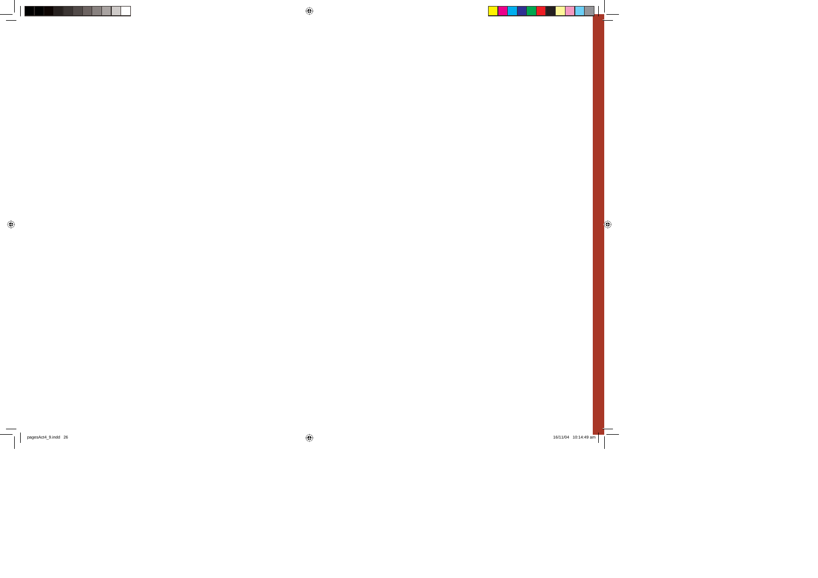

 $\overline{\phantom{a}}$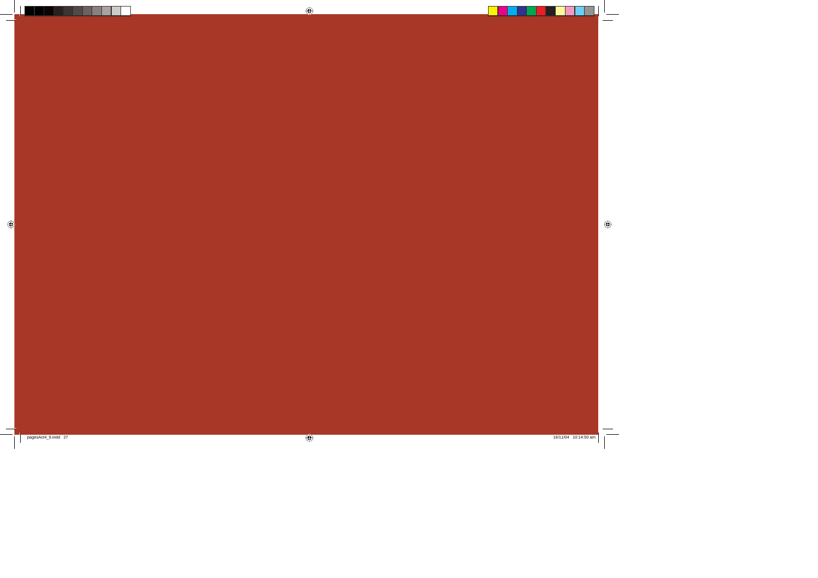

 $\overline{\phantom{a}}$  $\pm$